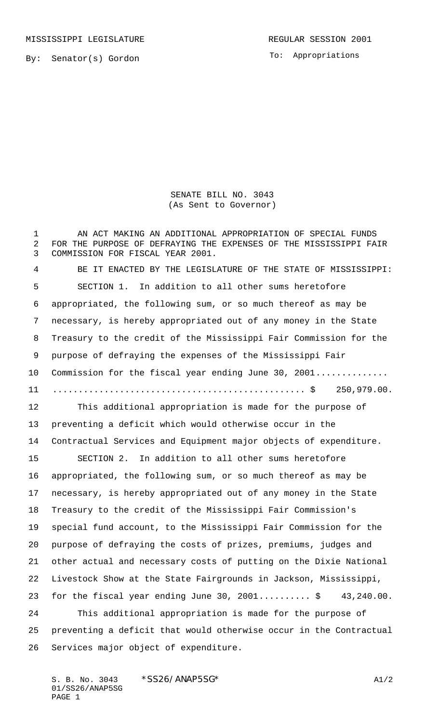MISSISSIPPI LEGISLATURE **REGULAR SESSION 2001** 

To: Appropriations

SENATE BILL NO. 3043 (As Sent to Governor)

1 AN ACT MAKING AN ADDITIONAL APPROPRIATION OF SPECIAL FUNDS FOR THE PURPOSE OF DEFRAYING THE EXPENSES OF THE MISSISSIPPI FAIR COMMISSION FOR FISCAL YEAR 2001.

 BE IT ENACTED BY THE LEGISLATURE OF THE STATE OF MISSISSIPPI: SECTION 1. In addition to all other sums heretofore appropriated, the following sum, or so much thereof as may be necessary, is hereby appropriated out of any money in the State Treasury to the credit of the Mississippi Fair Commission for the purpose of defraying the expenses of the Mississippi Fair 10 Commission for the fiscal year ending June 30, 2001.............. ................................................. \$ 250,979.00.

 This additional appropriation is made for the purpose of preventing a deficit which would otherwise occur in the Contractual Services and Equipment major objects of expenditure.

 SECTION 2. In addition to all other sums heretofore appropriated, the following sum, or so much thereof as may be necessary, is hereby appropriated out of any money in the State Treasury to the credit of the Mississippi Fair Commission's special fund account, to the Mississippi Fair Commission for the purpose of defraying the costs of prizes, premiums, judges and other actual and necessary costs of putting on the Dixie National Livestock Show at the State Fairgrounds in Jackson, Mississippi, 23 for the fiscal year ending June 30, ...........\$ 43,240.00. This additional appropriation is made for the purpose of preventing a deficit that would otherwise occur in the Contractual Services major object of expenditure.

S. B. No. 3043 \* SS26/ANAP5SG\* A1/2 01/SS26/ANAP5SG PAGE 1